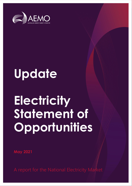

# **Update**

# **Electricity Statement of Opportunities**

**May 2021**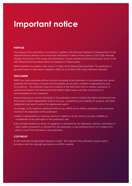## **Important notice**

### **PURPOSE**

The purpose of this publication is to provide an Update to the Electricity Statement of Opportunities for the National Electricity Market as the announced withdrawal of Yallourn Power Station in June 2028 materially changes the forecasts of the supply demand balance in South Australia and Victoria that were set out in the 2020 National Electricity Market Electricity Statement of Opportunities.

AEMO publishes this Update under clause 3.13.3A(b) of the National Electricity Rules. This publication is generally based on information available to AEMO as at 12 March 2021 unless otherwise indicated.

### **DISCLAIMER**

AEMO has made reasonable effrorts to ensure the quality of the information in this publication but cannot guarantee that information, forecasts and assumptions are accurate, complete or appropriate for your circumstances. This publication does not include all of the information that an investor, participant or potential participant in the National Electrcity Market might require, and does not amount to a recommendation of any investment.

Anyone proposing to use the information in this publication (which includes information and forecasts from third parties) should independently verify its accuracy, completeness and suitability for purpose, and obtain independent and specific advice from appropriate experts.

Accordingly, to the maximum extent permitted by law, AEMO and its officers, employees and consultants involved in the preparation of this publication:

- make no representation or warranty, express or implied, as to the currency, accuracy, reliability or completeness of the information in this publication; and
- are not liable (whether by reason of negligence or otherwise) for any statements, opinions, information or other matters contained in or derived from this publication, or any omissions from it, or in respect of a person's use of the information in this publication.

### **COPYRIGHT**

© 2021 Australian Energy Market Operator Limited. The material in this publication may be used in accordance with the [copyright permissions](http://aemo.com.au/Privacy_and_Legal_Notices/Copyright_Permissions_Notice) on AEMO's website.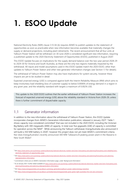# **1. ESOO Update**

National Electricity Rules (NER) clause 3.13.3A (b) requires AEMO to publish updates to the statement of opportunities as soon as practicable when new information becomes available that materially changes the supply or demand projections, including plant retirements. The recent announcement that all four units at Yallourn Power Station will be withdrawn on 30 June 2028 is considered significant new information, requiring a published update to the 2020 Electricity Statement of Opportunities (ESOO), published in August 2020<sup>1</sup>.

This ESOO Update focuses on implications for the supply demand balance over the two-year period 2028-29 to 2029-30 for Victoria and South Australia, as these are the only two regions materially impacted by the withdrawal. All inputs and model assumptions used in this ESOO Update match the 2020 ESOO, other than updates to Yallourn Power Station and other new generator information changes (see Section 1.1 for details).

The withdrawal of Yallourn Power Station may also have implications for system security, however these impacts are yet to be studied in detail.

Expected unserved energy (USE) is compared against both the Interim Reliability Measure (IRM) which aims to keep involuntary load shedding (loss of customer supply) to below 0.0006% of energy demand in a region in any given year, and the reliability standard with targets a maximum of 0.002% USE.

This update to the 2020 ESOO outlines that the earlier withdrawal of Yallourn Power Station increases the forecast of expected unserved energy (USE) above the reliability standard in Victoria from 2028-29, unless there is further commitment of dispatchable capacity.

### 1.1 Generator information

In addition to the new information about the withdrawal of Yallourn Power Station, this ESOO Update incorporates changes from AEMO's Generation Information publication, released in January 2021<sup>2</sup>. Table 1 shows capacity now considered committed<sup>3</sup> that was not included in the 2020 ESOO, including the Victorian Big Battery with 300 megawatts (MW) of capacity. In total over five gigawatts (GW) of capacity is committed for operation across the NEM<sup>4</sup>. While announcing the Yallourn withdrawal, EnergyAustralia also announced it will build a 350 MW battery in 2026<sup>5</sup>, however this project does not yet meet AEMO's commitment criteria. Nor does EnergyAustralia's recently announced 300 MW Tallawarra B peaking power plant in the Illawarra in New South Wales<sup>6</sup>.

<sup>1</sup> Se[e https://www.aemo.com.au/energy-systems/electricity/national-electricity-market-nem/nem-forecasting-and-planning/forecasting-and-reliability/nem](https://www.aemo.com.au/energy-systems/electricity/national-electricity-market-nem/nem-forecasting-and-planning/forecasting-and-reliability/nem-electricity-statement-of-opportunities-esoo)[electricity-statement-of-opportunities-esoo.](https://www.aemo.com.au/energy-systems/electricity/national-electricity-market-nem/nem-forecasting-and-planning/forecasting-and-reliability/nem-electricity-statement-of-opportunities-esoo)

<sup>&</sup>lt;sup>2</sup> Se[e https://www.aemo.com.au/energy-systems/electricity/national-electricity-market-nem/nem-forecasting-and-planning/forecasting-and-planning](https://www.aemo.com.au/energy-systems/electricity/national-electricity-market-nem/nem-forecasting-and-planning/forecasting-and-planning-data/generation-information)[data/generation-information.](https://www.aemo.com.au/energy-systems/electricity/national-electricity-market-nem/nem-forecasting-and-planning/forecasting-and-planning-data/generation-information)

<sup>&</sup>lt;sup>3</sup> Commitment criteria are on AEMO's Generation Information page, under 'Background information'.

<sup>4</sup> As at January 2021. Further detail available at [https://www.aemo.com.au/energy-systems/electricity/national-electricity-market-nem/nem-forecasting-and](https://www.aemo.com.au/energy-systems/electricity/national-electricity-market-nem/nem-forecasting-and-planning/forecasting-and-planning-data/generation-information)[planning/forecasting-and-planning-data/generation-information.](https://www.aemo.com.au/energy-systems/electricity/national-electricity-market-nem/nem-forecasting-and-planning/forecasting-and-planning-data/generation-information)

<sup>5</sup> Se[e https://www.energyaustralia.com.au/about-us/energy-generation/yallourn-power-station/energy-transition.](https://www.energyaustralia.com.au/about-us/energy-generation/yallourn-power-station/energy-transition)

<sup>6</sup> See https://www.energyaustralia.com.au/about-us/media/news/energyaustralia-gives-green-light-australias-first-net-zero-emissions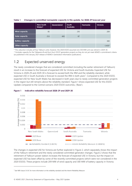| Table 1 | Changes in committed nameplate capacity in this update, for 2028-29 forecast year |  |  |
|---------|-----------------------------------------------------------------------------------|--|--|
|---------|-----------------------------------------------------------------------------------|--|--|

|                         | <b>New South</b><br>Wales <sup>1</sup> | Queensland | South<br><b>Australia</b> | <b>Tasmania</b> | <b>Victoria</b> |
|-------------------------|----------------------------------------|------------|---------------------------|-----------------|-----------------|
| <b>Wind capacity</b>    | 85                                     |            | 210                       |                 | 209             |
| Solar capacity          | 253                                    | 400        | 87                        |                 |                 |
| <b>Battery capacity</b> |                                        |            |                           |                 | 300             |
| Other capacity          |                                        |            |                           |                 | $-1,450*$       |

\* This reduction includes all four Yallourn units; however, the 2020 ESOO assumed one 350 MW unit was retired in 2029-30.

^ Excludes capacity for the Tallawarra B and Kurri Kurri OCGT generation projects as they do not yet meet AEMO's commitment criteria (as published in the January 2021 release of AEMO's Generation Information publication).

## 1.2 Expected unserved energy

The newly considered changes that are considered committed (including the earlier retirement of Yallourn) result in an increase to the forecast of expected USE for Victoria and South Australia. Expected USE for Victoria in 2028-29 and 2029-30 is forecast to exceed both the IRM and the reliability standard, while expected USE in South Australia is forecast to exceed the IRM in both years<sup>7</sup>. Compared to the 2020 ESOO, expected USE for New South Wales has decreased in both years due to newly committed generation projects in the region but still remains above the reliability standard. Figure 1 shows expected USE for this ESOO Update compared to the Central scenario 2020 ESOO outcomes, ('Base').



### **Figure 1 Indicative reliability forecast 2028-29 and 2029-30**

The changes in expected USE for Victoria are further explored in Figure 2, which separately shows the impact of the Yallourn retirement and the newly considered committed generator changes. Figure 2 shows that the retirement of Yallourn power station increases the forecast of expected USE in Victoria, but the impact on expected USE has been offset by some of the recently committed projects (which were not considered in the 2020 ESOO). These projects include 209 MW of wind capacity and 300 MW of battery capacity in Victoria.

<sup>&</sup>lt;sup>7</sup> See NER clause 3.9.3C for more information on the reliability standard and the Interim Reliability Measure